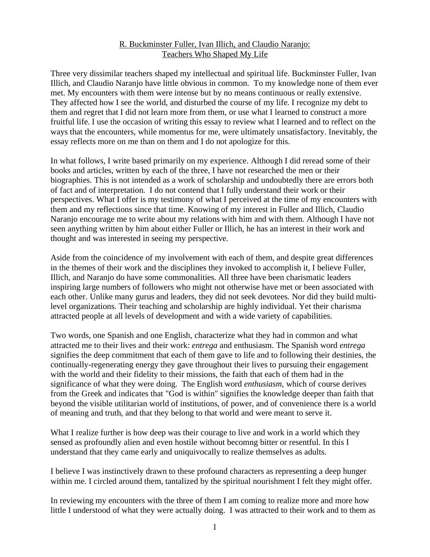# R. Buckminster Fuller, Ivan Illich, and Claudio Naranjo: Teachers Who Shaped My Life

Three very dissimilar teachers shaped my intellectual and spiritual life. Buckminster Fuller, Ivan Illich, and Claudio Naranjo have little obvious in common. To my knowledge none of them ever met. My encounters with them were intense but by no means continuous or really extensive. They affected how I see the world, and disturbed the course of my life. I recognize my debt to them and regret that I did not learn more from them, or use what I learned to construct a more fruitful life. I use the occasion of writing this essay to review what I learned and to reflect on the ways that the encounters, while momentus for me, were ultimately unsatisfactory. Inevitably, the essay reflects more on me than on them and I do not apologize for this.

In what follows, I write based primarily on my experience. Although I did reread some of their books and articles, written by each of the three, I have not researched the men or their biographies. This is not intended as a work of scholarship and undoubtedly there are errors both of fact and of interpretation. I do not contend that I fully understand their work or their perspectives. What I offer is my testimony of what I perceived at the time of my encounters with them and my reflections since that time. Knowing of my interest in Fuller and Illich, Claudio Naranjo encourage me to write about my relations with him and with them. Although I have not seen anything written by him about either Fuller or Illich, he has an interest in their work and thought and was interested in seeing my perspective.

Aside from the coincidence of my involvement with each of them, and despite great differences in the themes of their work and the disciplines they invoked to accomplish it, I believe Fuller, Illich, and Naranjo do have some commonalities. All three have been charismatic leaders inspiring large numbers of followers who might not otherwise have met or been associated with each other. Unlike many gurus and leaders, they did not seek devotees. Nor did they build multilevel organizations. Their teaching and scholarship are highly individual. Yet their charisma attracted people at all levels of development and with a wide variety of capabilities.

Two words, one Spanish and one English, characterize what they had in common and what attracted me to their lives and their work: *entrega* and enthusiasm. The Spanish word *entrega* signifies the deep commitment that each of them gave to life and to following their destinies, the continually-regenerating energy they gave throughout their lives to pursuing their engagement with the world and their fidelity to their missions, the faith that each of them had in the significance of what they were doing. The English word *enthusiasm*, which of course derives from the Greek and indicates that "God is within" signifies the knowledge deeper than faith that beyond the visible utilitarian world of institutions, of power, and of convenience there is a world of meaning and truth, and that they belong to that world and were meant to serve it.

What I realize further is how deep was their courage to live and work in a world which they sensed as profoundly alien and even hostile without becomng bitter or resentful. In this I understand that they came early and uniquivocally to realize themselves as adults.

I believe I was instinctively drawn to these profound characters as representing a deep hunger within me. I circled around them, tantalized by the spiritual nourishment I felt they might offer.

In reviewing my encounters with the three of them I am coming to realize more and more how little I understood of what they were actually doing. I was attracted to their work and to them as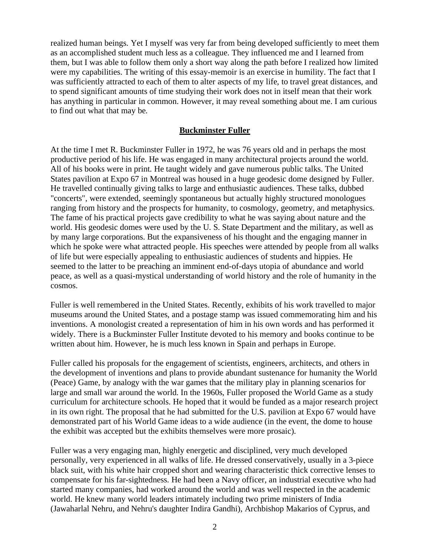realized human beings. Yet I myself was very far from being developed sufficiently to meet them as an accomplished student much less as a colleague. They influenced me and I learned from them, but I was able to follow them only a short way along the path before I realized how limited were my capabilities. The writing of this essay-memoir is an exercise in humility. The fact that I was sufficiently attracted to each of them to alter aspects of my life, to travel great distances, and to spend significant amounts of time studying their work does not in itself mean that their work has anything in particular in common. However, it may reveal something about me. I am curious to find out what that may be.

#### **Buckminster Fuller**

At the time I met R. Buckminster Fuller in 1972, he was 76 years old and in perhaps the most productive period of his life. He was engaged in many architectural projects around the world. All of his books were in print. He taught widely and gave numerous public talks. The United States pavilion at Expo 67 in Montreal was housed in a huge geodesic dome designed by Fuller. He travelled continually giving talks to large and enthusiastic audiences. These talks, dubbed "concerts", were extended, seemingly spontaneous but actually highly structured monologues ranging from history and the prospects for humanity, to cosmology, geometry, and metaphysics. The fame of his practical projects gave credibility to what he was saying about nature and the world. His geodesic domes were used by the U. S. State Department and the military, as well as by many large corporations. But the expansiveness of his thought and the engaging manner in which he spoke were what attracted people. His speeches were attended by people from all walks of life but were especially appealing to enthusiastic audiences of students and hippies. He seemed to the latter to be preaching an imminent end-of-days utopia of abundance and world peace, as well as a quasi-mystical understanding of world history and the role of humanity in the cosmos.

Fuller is well remembered in the United States. Recently, exhibits of his work travelled to major museums around the United States, and a postage stamp was issued commemorating him and his inventions. A monologist created a representation of him in his own words and has performed it widely. There is a Buckminster Fuller Institute devoted to his memory and books continue to be written about him. However, he is much less known in Spain and perhaps in Europe.

Fuller called his proposals for the engagement of scientists, engineers, architects, and others in the development of inventions and plans to provide abundant sustenance for humanity the World (Peace) Game, by analogy with the war games that the military play in planning scenarios for large and small war around the world. In the 1960s, Fuller proposed the World Game as a study curriculum for architecture schools. He hoped that it would be funded as a major research project in its own right. The proposal that he had submitted for the U.S. pavilion at Expo 67 would have demonstrated part of his World Game ideas to a wide audience (in the event, the dome to house the exhibit was accepted but the exhibits themselves were more prosaic).

Fuller was a very engaging man, highly energetic and disciplined, very much developed personally, very experienced in all walks of life. He dressed conservatively, usually in a 3-piece black suit, with his white hair cropped short and wearing characteristic thick corrective lenses to compensate for his far-sightedness. He had been a Navy officer, an industrial executive who had started many companies, had worked around the world and was well respected in the academic world. He knew many world leaders intimately including two prime ministers of India (Jawaharlal Nehru, and Nehru's daughter Indira Gandhi), Archbishop Makarios of Cyprus, and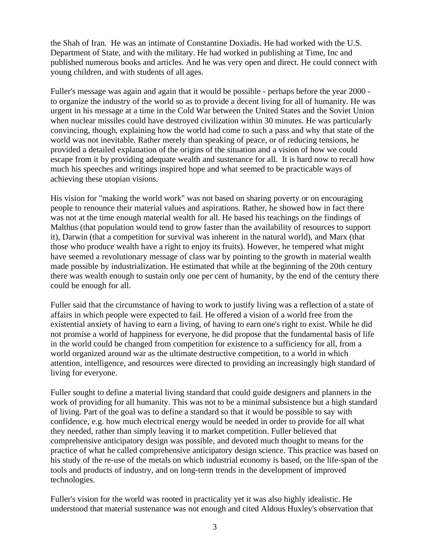the Shah of Iran. He was an intimate of Constantine Doxiadis. He had worked with the U.S. Department of State, and with the military. He had worked in publishing at Time, Inc and published numerous books and articles. And he was very open and direct. He could connect with young children, and with students of all ages.

Fuller's message was again and again that it would be possible - perhaps before the year 2000 to organize the industry of the world so as to provide a decent living for all of humanity. He was urgent in his message at a time in the Cold War between the United States and the Soviet Union when nuclear missiles could have destroyed civilization within 30 minutes. He was particularly convincing, though, explaining how the world had come to such a pass and why that state of the world was not inevitable. Rather merely than speaking of peace, or of reducing tensions, he provided a detailed explanation of the origins of the situation and a vision of how we could escape from it by providing adequate wealth and sustenance for all. It is hard now to recall how much his speeches and writings inspired hope and what seemed to be practicable ways of achieving these utopian visions.

His vision for "making the world work" was not based on sharing poverty or on encouraging people to renounce their material values and aspirations. Rather, he showed how in fact there was not at the time enough material wealth for all. He based his teachings on the findings of Malthus (that population would tend to grow faster than the availability of resources to support it), Darwin (that a competition for survival was inherent in the natural world), and Marx (that those who produce wealth have a right to enjoy its fruits). However, he tempered what might have seemed a revolutionary message of class war by pointing to the growth in material wealth made possible by industrialization. He estimated that while at the beginning of the 20th century there was wealth enough to sustain only one per cent of humanity, by the end of the century there could be enough for all.

Fuller said that the circumstance of having to work to justify living was a reflection of a state of affairs in which people were expected to fail. He offered a vision of a world free from the existential anxiety of having to earn a living, of having to earn one's right to exist. While he did not promise a world of happiness for everyone, he did propose that the fundamental basis of life in the world could be changed from competition for existence to a sufficiency for all, from a world organized around war as the ultimate destructive competition, to a world in which attention, intelligence, and resources were directed to providing an increasingly high standard of living for everyone.

Fuller sought to define a material living standard that could guide designers and planners in the work of providing for all humanity. This was not to be a minimal subsistence but a high standard of living. Part of the goal was to define a standard so that it would be possible to say with confidence, e.g. how much electrical energy would be needed in order to provide for all what they needed, rather than simply leaving it to market competition. Fuller believed that comprehensive anticipatory design was possible, and devoted much thought to means for the practice of what he called comprehensive anticipatory design science. This practice was based on his study of the re-use of the metals on which industrial economy is based, on the life-span of the tools and products of industry, and on long-term trends in the development of improved technologies.

Fuller's vision for the world was rooted in practicality yet it was also highly idealistic. He understood that material sustenance was not enough and cited Aldous Huxley's observation that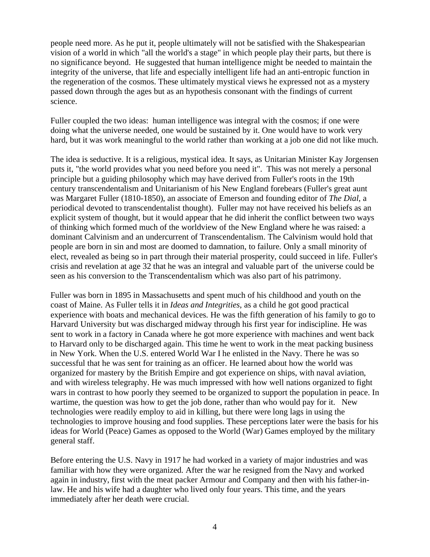people need more. As he put it, people ultimately will not be satisfied with the Shakespearian vision of a world in which "all the world's a stage" in which people play their parts, but there is no significance beyond. He suggested that human intelligence might be needed to maintain the integrity of the universe, that life and especially intelligent life had an anti-entropic function in the regeneration of the cosmos. These ultimately mystical views he expressed not as a mystery passed down through the ages but as an hypothesis consonant with the findings of current science.

Fuller coupled the two ideas: human intelligence was integral with the cosmos; if one were doing what the universe needed, one would be sustained by it. One would have to work very hard, but it was work meaningful to the world rather than working at a job one did not like much.

The idea is seductive. It is a religious, mystical idea. It says, as Unitarian Minister Kay Jorgensen puts it, "the world provides what you need before you need it". This was not merely a personal principle but a guiding philosophy which may have derived from Fuller's roots in the 19th century transcendentalism and Unitarianism of his New England forebears (Fuller's great aunt was Margaret Fuller (1810-1850), an associate of Emerson and founding editor of *The Dial*, a periodical devoted to transcendentalist thought). Fuller may not have received his beliefs as an explicit system of thought, but it would appear that he did inherit the conflict between two ways of thinking which formed much of the worldview of the New England where he was raised: a dominant Calvinism and an undercurrent of Transcendentalism. The Calvinism would hold that people are born in sin and most are doomed to damnation, to failure. Only a small minority of elect, revealed as being so in part through their material prosperity, could succeed in life. Fuller's crisis and revelation at age 32 that he was an integral and valuable part of the universe could be seen as his conversion to the Transcendentalism which was also part of his patrimony.

Fuller was born in 1895 in Massachusetts and spent much of his childhood and youth on the coast of Maine. As Fuller tells it in *Ideas and Integrities*, as a child he got good practical experience with boats and mechanical devices. He was the fifth generation of his family to go to Harvard University but was discharged midway through his first year for indiscipline. He was sent to work in a factory in Canada where he got more experience with machines and went back to Harvard only to be discharged again. This time he went to work in the meat packing business in New York. When the U.S. entered World War I he enlisted in the Navy. There he was so successful that he was sent for training as an officer. He learned about how the world was organized for mastery by the British Empire and got experience on ships, with naval aviation, and with wireless telegraphy. He was much impressed with how well nations organized to fight wars in contrast to how poorly they seemed to be organized to support the population in peace. In wartime, the question was how to get the job done, rather than who would pay for it. New technologies were readily employ to aid in killing, but there were long lags in using the technologies to improve housing and food supplies. These perceptions later were the basis for his ideas for World (Peace) Games as opposed to the World (War) Games employed by the military general staff.

Before entering the U.S. Navy in 1917 he had worked in a variety of major industries and was familiar with how they were organized. After the war he resigned from the Navy and worked again in industry, first with the meat packer Armour and Company and then with his father-inlaw. He and his wife had a daughter who lived only four years. This time, and the years immediately after her death were crucial.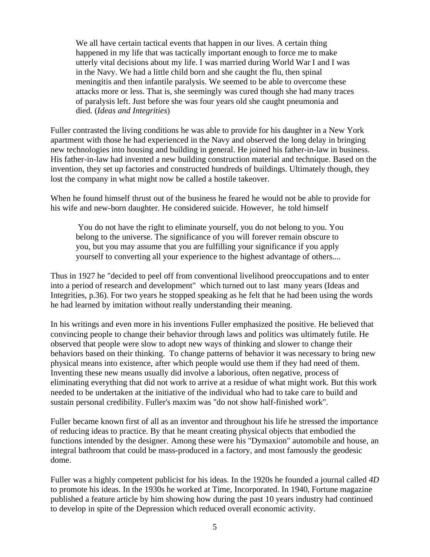We all have certain tactical events that happen in our lives. A certain thing happened in my life that was tactically important enough to force me to make utterly vital decisions about my life. I was married during World War I and I was in the Navy. We had a little child born and she caught the flu, then spinal meningitis and then infantile paralysis. We seemed to be able to overcome these attacks more or less. That is, she seemingly was cured though she had many traces of paralysis left. Just before she was four years old she caught pneumonia and died. (*Ideas and Integrities*)

Fuller contrasted the living conditions he was able to provide for his daughter in a New York apartment with those he had experienced in the Navy and observed the long delay in bringing new technologies into housing and building in general. He joined his father-in-law in business. His father-in-law had invented a new building construction material and technique. Based on the invention, they set up factories and constructed hundreds of buildings. Ultimately though, they lost the company in what might now be called a hostile takeover.

When he found himself thrust out of the business he feared he would not be able to provide for his wife and new-born daughter. He considered suicide. However, he told himself

 You do not have the right to eliminate yourself, you do not belong to you. You belong to the universe. The significance of you will forever remain obscure to you, but you may assume that you are fulfilling your significance if you apply yourself to converting all your experience to the highest advantage of others....

Thus in 1927 he "decided to peel off from conventional livelihood preoccupations and to enter into a period of research and development" which turned out to last many years (Ideas and Integrities, p.36). For two years he stopped speaking as he felt that he had been using the words he had learned by imitation without really understanding their meaning.

In his writings and even more in his inventions Fuller emphasized the positive. He believed that convincing people to change their behavior through laws and politics was ultimately futile. He observed that people were slow to adopt new ways of thinking and slower to change their behaviors based on their thinking. To change patterns of behavior it was necessary to bring new physical means into existence, after which people would use them if they had need of them. Inventing these new means usually did involve a laborious, often negative, process of eliminating everything that did not work to arrive at a residue of what might work. But this work needed to be undertaken at the initiative of the individual who had to take care to build and sustain personal credibility. Fuller's maxim was "do not show half-finished work".

Fuller became known first of all as an inventor and throughout his life he stressed the importance of reducing ideas to practice. By that he meant creating physical objects that embodied the functions intended by the designer. Among these were his "Dymaxion" automobile and house, an integral bathroom that could be mass-produced in a factory, and most famously the geodesic dome.

Fuller was a highly competent publicist for his ideas. In the 1920s he founded a journal called *4D* to promote his ideas. In the 1930s he worked at Time, Incorporated. In 1940, Fortune magazine published a feature article by him showing how during the past 10 years industry had continued to develop in spite of the Depression which reduced overall economic activity.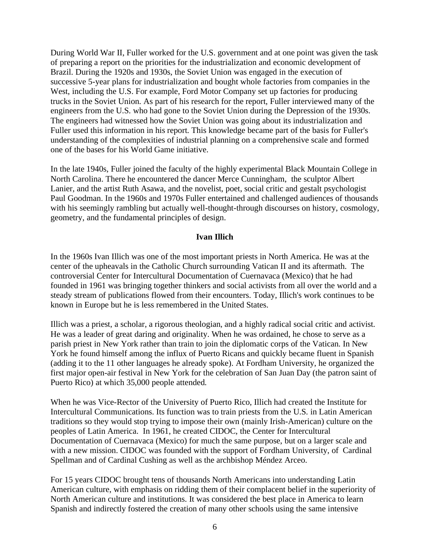During World War II, Fuller worked for the U.S. government and at one point was given the task of preparing a report on the priorities for the industrialization and economic development of Brazil. During the 1920s and 1930s, the Soviet Union was engaged in the execution of successive 5-year plans for industrialization and bought whole factories from companies in the West, including the U.S. For example, Ford Motor Company set up factories for producing trucks in the Soviet Union. As part of his research for the report, Fuller interviewed many of the engineers from the U.S. who had gone to the Soviet Union during the Depression of the 1930s. The engineers had witnessed how the Soviet Union was going about its industrialization and Fuller used this information in his report. This knowledge became part of the basis for Fuller's understanding of the complexities of industrial planning on a comprehensive scale and formed one of the bases for his World Game initiative.

In the late 1940s, Fuller joined the faculty of the highly experimental Black Mountain College in North Carolina. There he encountered the dancer Merce Cunningham, the sculptor Albert Lanier, and the artist Ruth Asawa, and the novelist, poet, social critic and gestalt psychologist Paul Goodman. In the 1960s and 1970s Fuller entertained and challenged audiences of thousands with his seemingly rambling but actually well-thought-through discourses on history, cosmology, geometry, and the fundamental principles of design.

### **Ivan Illich**

In the 1960s Ivan Illich was one of the most important priests in North America. He was at the center of the upheavals in the Catholic Church surrounding Vatican II and its aftermath. The controversial Center for Intercultural Documentation of Cuernavaca (Mexico) that he had founded in 1961 was bringing together thinkers and social activists from all over the world and a steady stream of publications flowed from their encounters. Today, Illich's work continues to be known in Europe but he is less remembered in the United States.

Illich was a priest, a scholar, a rigorous theologian, and a highly radical social critic and activist. He was a leader of great daring and originality. When he was ordained, he chose to serve as a parish priest in New York rather than train to join the diplomatic corps of the Vatican. In New York he found himself among the influx of Puerto Ricans and quickly became fluent in Spanish (adding it to the 11 other languages he already spoke). At Fordham University, he organized the first major open-air festival in New York for the celebration of San Juan Day (the patron saint of Puerto Rico) at which 35,000 people attended.

When he was Vice-Rector of the University of Puerto Rico, Illich had created the Institute for Intercultural Communications. Its function was to train priests from the U.S. in Latin American traditions so they would stop trying to impose their own (mainly Irish-American) culture on the peoples of Latin America. In 1961, he created CIDOC, the Center for Intercultural Documentation of Cuernavaca (Mexico) for much the same purpose, but on a larger scale and with a new mission. CIDOC was founded with the support of Fordham University, of Cardinal Spellman and of Cardinal Cushing as well as the archbishop Méndez Arceo.

For 15 years CIDOC brought tens of thousands North Americans into understanding Latin American culture, with emphasis on ridding them of their complacent belief in the superiority of North American culture and institutions. It was considered the best place in America to learn Spanish and indirectly fostered the creation of many other schools using the same intensive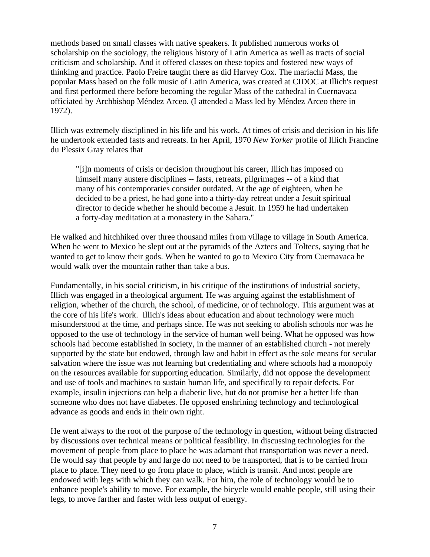methods based on small classes with native speakers. It published numerous works of scholarship on the sociology, the religious history of Latin America as well as tracts of social criticism and scholarship. And it offered classes on these topics and fostered new ways of thinking and practice. Paolo Freire taught there as did Harvey Cox. The mariachi Mass, the popular Mass based on the folk music of Latin America, was created at CIDOC at Illich's request and first performed there before becoming the regular Mass of the cathedral in Cuernavaca officiated by Archbishop Méndez Arceo. (I attended a Mass led by Méndez Arceo there in 1972).

Illich was extremely disciplined in his life and his work. At times of crisis and decision in his life he undertook extended fasts and retreats. In her April, 1970 *New Yorker* profile of Illich Francine du Plessix Gray relates that

"[i]n moments of crisis or decision throughout his career, Illich has imposed on himself many austere disciplines -- fasts, retreats, pilgrimages -- of a kind that many of his contemporaries consider outdated. At the age of eighteen, when he decided to be a priest, he had gone into a thirty-day retreat under a Jesuit spiritual director to decide whether he should become a Jesuit. In 1959 he had undertaken a forty-day meditation at a monastery in the Sahara."

He walked and hitchhiked over three thousand miles from village to village in South America. When he went to Mexico he slept out at the pyramids of the Aztecs and Toltecs, saying that he wanted to get to know their gods. When he wanted to go to Mexico City from Cuernavaca he would walk over the mountain rather than take a bus.

Fundamentally, in his social criticism, in his critique of the institutions of industrial society, Illich was engaged in a theological argument. He was arguing against the establishment of religion, whether of the church, the school, of medicine, or of technology. This argument was at the core of his life's work. Illich's ideas about education and about technology were much misunderstood at the time, and perhaps since. He was not seeking to abolish schools nor was he opposed to the use of technology in the service of human well being. What he opposed was how schools had become established in society, in the manner of an established church - not merely supported by the state but endowed, through law and habit in effect as the sole means for secular salvation where the issue was not learning but credentialing and where schools had a monopoly on the resources available for supporting education. Similarly, did not oppose the development and use of tools and machines to sustain human life, and specifically to repair defects. For example, insulin injections can help a diabetic live, but do not promise her a better life than someone who does not have diabetes. He opposed enshrining technology and technological advance as goods and ends in their own right.

He went always to the root of the purpose of the technology in question, without being distracted by discussions over technical means or political feasibility. In discussing technologies for the movement of people from place to place he was adamant that transportation was never a need. He would say that people by and large do not need to be transported, that is to be carried from place to place. They need to go from place to place, which is transit. And most people are endowed with legs with which they can walk. For him, the role of technology would be to enhance people's ability to move. For example, the bicycle would enable people, still using their legs, to move farther and faster with less output of energy.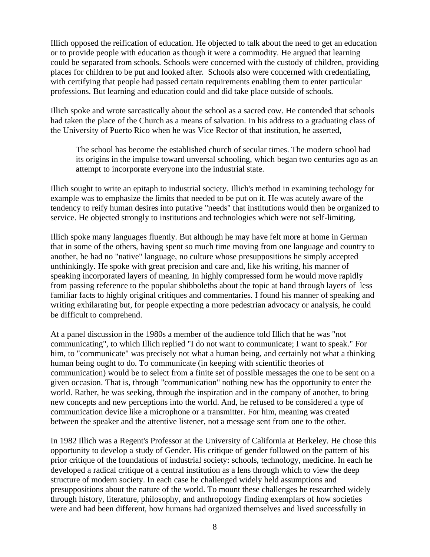Illich opposed the reification of education. He objected to talk about the need to get an education or to provide people with education as though it were a commodity. He argued that learning could be separated from schools. Schools were concerned with the custody of children, providing places for children to be put and looked after. Schools also were concerned with credentialing, with certifying that people had passed certain requirements enabling them to enter particular professions. But learning and education could and did take place outside of schools.

Illich spoke and wrote sarcastically about the school as a sacred cow. He contended that schools had taken the place of the Church as a means of salvation. In his address to a graduating class of the University of Puerto Rico when he was Vice Rector of that institution, he asserted,

The school has become the established church of secular times. The modern school had its origins in the impulse toward unversal schooling, which began two centuries ago as an attempt to incorporate everyone into the industrial state.

Illich sought to write an epitaph to industrial society. Illich's method in examining techology for example was to emphasize the limits that needed to be put on it. He was acutely aware of the tendency to reify human desires into putative "needs" that institutions would then be organized to service. He objected strongly to institutions and technologies which were not self-limiting.

Illich spoke many languages fluently. But although he may have felt more at home in German that in some of the others, having spent so much time moving from one language and country to another, he had no "native" language, no culture whose presuppositions he simply accepted unthinkingly. He spoke with great precision and care and, like his writing, his manner of speaking incorporated layers of meaning. In highly compressed form he would move rapidly from passing reference to the popular shibboleths about the topic at hand through layers of less familiar facts to highly original critiques and commentaries. I found his manner of speaking and writing exhilarating but, for people expecting a more pedestrian advocacy or analysis, he could be difficult to comprehend.

At a panel discussion in the 1980s a member of the audience told Illich that he was "not communicating", to which Illich replied "I do not want to communicate; I want to speak." For him, to "communicate" was precisely not what a human being, and certainly not what a thinking human being ought to do. To communicate (in keeping with scientific theories of communication) would be to select from a finite set of possible messages the one to be sent on a given occasion. That is, through "communication" nothing new has the opportunity to enter the world. Rather, he was seeking, through the inspiration and in the company of another, to bring new concepts and new perceptions into the world. And, he refused to be considered a type of communication device like a microphone or a transmitter. For him, meaning was created between the speaker and the attentive listener, not a message sent from one to the other.

In 1982 Illich was a Regent's Professor at the University of California at Berkeley. He chose this opportunity to develop a study of Gender. His critique of gender followed on the pattern of his prior critique of the foundations of industrial society: schools, technology, medicine. In each he developed a radical critique of a central institution as a lens through which to view the deep structure of modern society. In each case he challenged widely held assumptions and presuppositions about the nature of the world. To mount these challenges he researched widely through history, literature, philosophy, and anthropology finding exemplars of how societies were and had been different, how humans had organized themselves and lived successfully in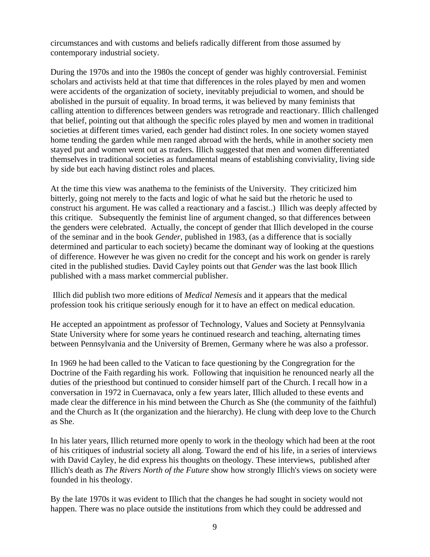circumstances and with customs and beliefs radically different from those assumed by contemporary industrial society.

During the 1970s and into the 1980s the concept of gender was highly controversial. Feminist scholars and activists held at that time that differences in the roles played by men and women were accidents of the organization of society, inevitably prejudicial to women, and should be abolished in the pursuit of equality. In broad terms, it was believed by many feminists that calling attention to differences between genders was retrograde and reactionary. Illich challenged that belief, pointing out that although the specific roles played by men and women in traditional societies at different times varied, each gender had distinct roles. In one society women stayed home tending the garden while men ranged abroad with the herds, while in another society men stayed put and women went out as traders. Illich suggested that men and women differentiated themselves in traditional societies as fundamental means of establishing conviviality, living side by side but each having distinct roles and places.

At the time this view was anathema to the feminists of the University. They criticized him bitterly, going not merely to the facts and logic of what he said but the rhetoric he used to construct his argument. He was called a reactionary and a fascist..) Illich was deeply affected by this critique. Subsequently the feminist line of argument changed, so that differences between the genders were celebrated. Actually, the concept of gender that Illich developed in the course of the seminar and in the book *Gender*, published in 1983, (as a difference that is socially determined and particular to each society) became the dominant way of looking at the questions of difference. However he was given no credit for the concept and his work on gender is rarely cited in the published studies. David Cayley points out that *Gender* was the last book Illich published with a mass market commercial publisher.

 Illich did publish two more editions of *Medical Nemesis* and it appears that the medical profession took his critique seriously enough for it to have an effect on medical education.

He accepted an appointment as professor of Technology, Values and Society at Pennsylvania State University where for some years he continued research and teaching, alternating times between Pennsylvania and the University of Bremen, Germany where he was also a professor.

In 1969 he had been called to the Vatican to face questioning by the Congregration for the Doctrine of the Faith regarding his work. Following that inquisition he renounced nearly all the duties of the priesthood but continued to consider himself part of the Church. I recall how in a conversation in 1972 in Cuernavaca, only a few years later, Illich alluded to these events and made clear the difference in his mind between the Church as She (the community of the faithful) and the Church as It (the organization and the hierarchy). He clung with deep love to the Church as She.

In his later years, Illich returned more openly to work in the theology which had been at the root of his critiques of industrial society all along. Toward the end of his life, in a series of interviews with David Cayley, he did express his thoughts on theology. These interviews, published after Illich's death as *The Rivers North of the Future* show how strongly Illich's views on society were founded in his theology.

By the late 1970s it was evident to Illich that the changes he had sought in society would not happen. There was no place outside the institutions from which they could be addressed and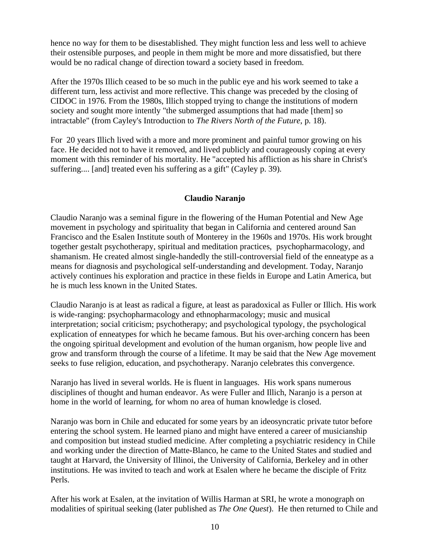hence no way for them to be disestablished. They might function less and less well to achieve their ostensible purposes, and people in them might be more and more dissatisfied, but there would be no radical change of direction toward a society based in freedom.

After the 1970s Illich ceased to be so much in the public eye and his work seemed to take a different turn, less activist and more reflective. This change was preceded by the closing of CIDOC in 1976. From the 1980s, Illich stopped trying to change the institutions of modern society and sought more intently "the submerged assumptions that had made [them] so intractable" (from Cayley's Introduction to *The Rivers North of the Future*, p. 18).

For 20 years Illich lived with a more and more prominent and painful tumor growing on his face. He decided not to have it removed, and lived publicly and courageously coping at every moment with this reminder of his mortality. He "accepted his affliction as his share in Christ's suffering.... [and] treated even his suffering as a gift" (Cayley p. 39).

# **Claudio Naranjo**

Claudio Naranjo was a seminal figure in the flowering of the Human Potential and New Age movement in psychology and spirituality that began in California and centered around San Francisco and the Esalen Institute south of Monterey in the 1960s and 1970s. His work brought together gestalt psychotherapy, spiritual and meditation practices, psychopharmacology, and shamanism. He created almost single-handedly the still-controversial field of the enneatype as a means for diagnosis and psychological self-understanding and development. Today, Naranjo actively continues his exploration and practice in these fields in Europe and Latin America, but he is much less known in the United States.

Claudio Naranjo is at least as radical a figure, at least as paradoxical as Fuller or Illich. His work is wide-ranging: psychopharmacology and ethnopharmacology; music and musical interpretation; social criticism; psychotherapy; and psychological typology, the psychological explication of enneatypes for which he became famous. But his over-arching concern has been the ongoing spiritual development and evolution of the human organism, how people live and grow and transform through the course of a lifetime. It may be said that the New Age movement seeks to fuse religion, education, and psychotherapy. Naranjo celebrates this convergence.

Naranjo has lived in several worlds. He is fluent in languages. His work spans numerous disciplines of thought and human endeavor. As were Fuller and Illich, Naranjo is a person at home in the world of learning, for whom no area of human knowledge is closed.

Naranjo was born in Chile and educated for some years by an ideosyncratic private tutor before entering the school system. He learned piano and might have entered a career of musicianship and composition but instead studied medicine. After completing a psychiatric residency in Chile and working under the direction of Matte-Blanco, he came to the United States and studied and taught at Harvard, the University of Illinoi, the University of California, Berkeley and in other institutions. He was invited to teach and work at Esalen where he became the disciple of Fritz Perls.

After his work at Esalen, at the invitation of Willis Harman at SRI, he wrote a monograph on modalities of spiritual seeking (later published as *The One Quest*). He then returned to Chile and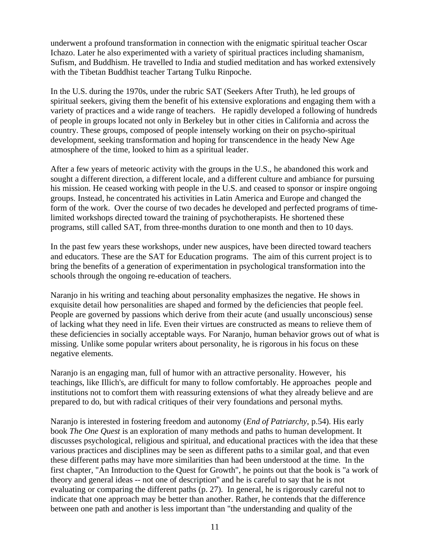underwent a profound transformation in connection with the enigmatic spiritual teacher Oscar Ichazo. Later he also experimented with a variety of spiritual practices including shamanism, Sufism, and Buddhism. He travelled to India and studied meditation and has worked extensively with the Tibetan Buddhist teacher Tartang Tulku Rinpoche.

In the U.S. during the 1970s, under the rubric SAT (Seekers After Truth), he led groups of spiritual seekers, giving them the benefit of his extensive explorations and engaging them with a variety of practices and a wide range of teachers. He rapidly developed a following of hundreds of people in groups located not only in Berkeley but in other cities in California and across the country. These groups, composed of people intensely working on their on psycho-spiritual development, seeking transformation and hoping for transcendence in the heady New Age atmosphere of the time, looked to him as a spiritual leader.

After a few years of meteoric activity with the groups in the U.S., he abandoned this work and sought a different direction, a different locale, and a different culture and ambiance for pursuing his mission. He ceased working with people in the U.S. and ceased to sponsor or inspire ongoing groups. Instead, he concentrated his activities in Latin America and Europe and changed the form of the work. Over the course of two decades he developed and perfected programs of timelimited workshops directed toward the training of psychotherapists. He shortened these programs, still called SAT, from three-months duration to one month and then to 10 days.

In the past few years these workshops, under new auspices, have been directed toward teachers and educators. These are the SAT for Education programs. The aim of this current project is to bring the benefits of a generation of experimentation in psychological transformation into the schools through the ongoing re-education of teachers.

Naranjo in his writing and teaching about personality emphasizes the negative. He shows in exquisite detail how personalities are shaped and formed by the deficiencies that people feel. People are governed by passions which derive from their acute (and usually unconscious) sense of lacking what they need in life. Even their virtues are constructed as means to relieve them of these deficiencies in socially acceptable ways. For Naranjo, human behavior grows out of what is missing. Unlike some popular writers about personality, he is rigorous in his focus on these negative elements.

Naranjo is an engaging man, full of humor with an attractive personality. However, his teachings, like Illich's, are difficult for many to follow comfortably. He approaches people and institutions not to comfort them with reassuring extensions of what they already believe and are prepared to do, but with radical critiques of their very foundations and personal myths.

Naranjo is interested in fostering freedom and autonomy (*End of Patriarchy*, p.54). His early book *The One Quest* is an exploration of many methods and paths to human development. It discusses psychological, religious and spiritual, and educational practices with the idea that these various practices and disciplines may be seen as different paths to a similar goal, and that even these different paths may have more similarities than had been understood at the time. In the first chapter, "An Introduction to the Quest for Growth", he points out that the book is "a work of theory and general ideas -- not one of description" and he is careful to say that he is not evaluating or comparing the different paths (p. 27). In general, he is rigorously careful not to indicate that one approach may be better than another. Rather, he contends that the difference between one path and another is less important than "the understanding and quality of the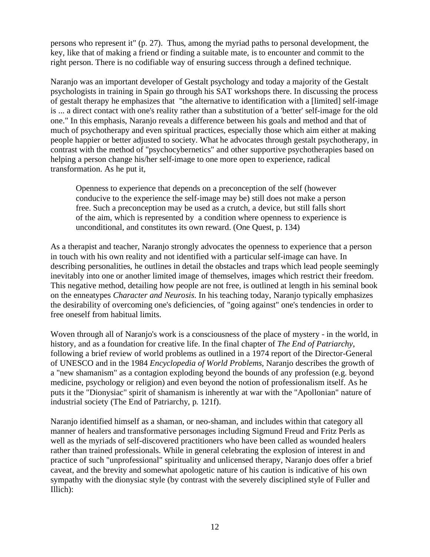persons who represent it" (p. 27). Thus, among the myriad paths to personal development, the key, like that of making a friend or finding a suitable mate, is to encounter and commit to the right person. There is no codifiable way of ensuring success through a defined technique.

Naranjo was an important developer of Gestalt psychology and today a majority of the Gestalt psychologists in training in Spain go through his SAT workshops there. In discussing the process of gestalt therapy he emphasizes that "the alternative to identification with a [limited] self-image is ... a direct contact with one's reality rather than a substitution of a 'better' self-image for the old one." In this emphasis, Naranjo reveals a difference between his goals and method and that of much of psychotherapy and even spiritual practices, especially those which aim either at making people happier or better adjusted to society. What he advocates through gestalt psychotherapy, in contrast with the method of "psychocybernetics" and other supportive psychotherapies based on helping a person change his/her self-image to one more open to experience, radical transformation. As he put it,

Openness to experience that depends on a preconception of the self (however conducive to the experience the self-image may be) still does not make a person free. Such a preconception may be used as a crutch, a device, but still falls short of the aim, which is represented by a condition where openness to experience is unconditional, and constitutes its own reward. (One Quest, p. 134)

As a therapist and teacher, Naranjo strongly advocates the openness to experience that a person in touch with his own reality and not identified with a particular self-image can have. In describing personalities, he outlines in detail the obstacles and traps which lead people seemingly inevitably into one or another limited image of themselves, images which restrict their freedom. This negative method, detailing how people are not free, is outlined at length in his seminal book on the enneatypes *Character and Neurosis*. In his teaching today, Naranjo typically emphasizes the desirability of overcoming one's deficiencies, of "going against" one's tendencies in order to free oneself from habitual limits.

Woven through all of Naranjo's work is a consciousness of the place of mystery - in the world, in history, and as a foundation for creative life. In the final chapter of *The End of Patriarchy*, following a brief review of world problems as outlined in a 1974 report of the Director-General of UNESCO and in the 1984 *Encyclopedia of World Problems*, Naranjo describes the growth of a "new shamanism" as a contagion exploding beyond the bounds of any profession (e.g. beyond medicine, psychology or religion) and even beyond the notion of professionalism itself. As he puts it the "Dionysiac" spirit of shamanism is inherently at war with the "Apollonian" nature of industrial society (The End of Patriarchy, p. 121f).

Naranjo identified himself as a shaman, or neo-shaman, and includes within that category all manner of healers and transformative personages including Sigmund Freud and Fritz Perls as well as the myriads of self-discovered practitioners who have been called as wounded healers rather than trained professionals. While in general celebrating the explosion of interest in and practice of such "unprofessional" spirituality and unlicensed therapy, Naranjo does offer a brief caveat, and the brevity and somewhat apologetic nature of his caution is indicative of his own sympathy with the dionysiac style (by contrast with the severely disciplined style of Fuller and Illich):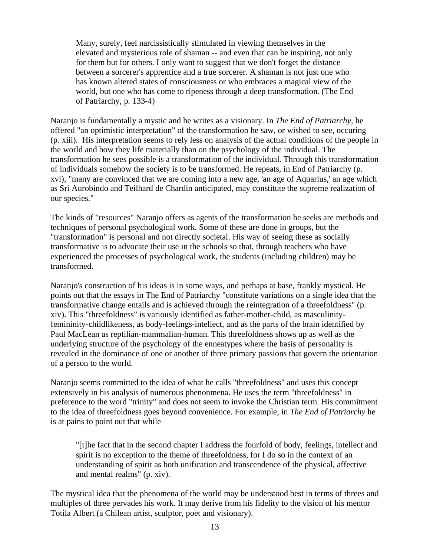Many, surely, feel narcissistically stimulated in viewing themselves in the elevated and mysterious role of shaman -- and even that can be inspiring, not only for them but for others. I only want to suggest that we don't forget the distance between a sorcerer's apprentice and a true sorcerer. A shaman is not just one who has known altered states of consciousness or who embraces a magical view of the world, but one who has come to ripeness through a deep transformation. (The End of Patriarchy, p. 133-4)

Naranjo is fundamentally a mystic and he writes as a visionary. In *The End of Patriarchy*, he offered "an optimistic interpretation" of the transformation he saw, or wished to see, occuring (p. xiii). His interpretation seems to rely less on analysis of the actual conditions of the people in the world and how they life materially than on the psychology of the individual. The transformation he sees possible is a transformation of the individual. Through this transformation of individuals somehow the society is to be transformed. He repeats, in End of Patriarchy (p. xvi), "many are convinced that we are coming into a new age, 'an age of Aquarius,' an age which as Sri Aurobindo and Teilhard de Chardin anticipated, may constitute the supreme realization of our species."

The kinds of "resources" Naranjo offers as agents of the transformation he seeks are methods and techniques of personal psychological work. Some of these are done in groups, but the "transformation" is personal and not directly societal. His way of seeing these as socially transformative is to advocate their use in the schools so that, through teachers who have experienced the processes of psychological work, the students (including children) may be transformed.

Naranjo's construction of his ideas is in some ways, and perhaps at base, frankly mystical. He points out that the essays in The End of Patriarchy "constitute variations on a single idea that the transformative change entails and is achieved through the reintegration of a threefoldness" (p. xiv). This "threefoldness" is variously identified as father-mother-child, as masculinityfemininity-childlikeness, as body-feelings-intellect, and as the parts of the brain identified by Paul MacLean as reptilian-mammalian-human. This threefoldness shows up as well as the underlying structure of the psychology of the enneatypes where the basis of personality is revealed in the dominance of one or another of three primary passions that govern the orientation of a person to the world.

Naranjo seems committed to the idea of what he calls "threefoldness" and uses this concept extensively in his analysis of numerous phenonmena. He uses the term "threefoldness" in preference to the word "trinity" and does not seem to invoke the Christian term. His commitment to the idea of threefoldness goes beyond convenience. For example, in *The End of Patriarchy* he is at pains to point out that while

"[t]he fact that in the second chapter I address the fourfold of body, feelings, intellect and spirit is no exception to the theme of threefoldness, for I do so in the context of an understanding of spirit as both unification and transcendence of the physical, affective and mental realms" (p. xiv).

The mystical idea that the phenomena of the world may be understood best in terms of threes and multiples of three pervades his work. It may derive from his fidelity to the vision of his mentor Totila Albert (a Chilean artist, sculptor, poet and visionary).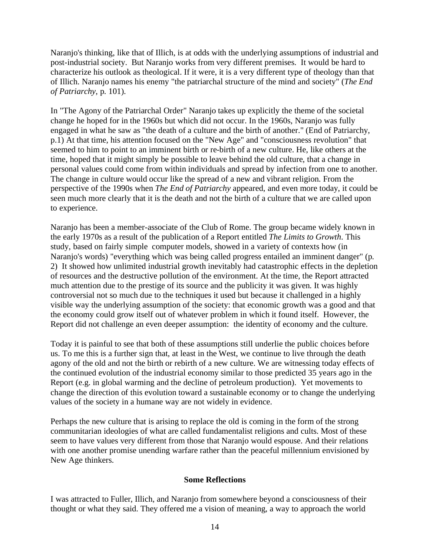Naranjo's thinking, like that of Illich, is at odds with the underlying assumptions of industrial and post-industrial society. But Naranjo works from very different premises. It would be hard to characterize his outlook as theological. If it were, it is a very different type of theology than that of Illich. Naranjo names his enemy "the patriarchal structure of the mind and society" (*The End of Patriarchy*, p. 101).

In "The Agony of the Patriarchal Order" Naranjo takes up explicitly the theme of the societal change he hoped for in the 1960s but which did not occur. In the 1960s, Naranjo was fully engaged in what he saw as "the death of a culture and the birth of another." (End of Patriarchy, p.1) At that time, his attention focused on the "New Age" and "consciousness revolution" that seemed to him to point to an imminent birth or re-birth of a new culture. He, like others at the time, hoped that it might simply be possible to leave behind the old culture, that a change in personal values could come from within individuals and spread by infection from one to another. The change in culture would occur like the spread of a new and vibrant religion. From the perspective of the 1990s when *The End of Patriarchy* appeared, and even more today, it could be seen much more clearly that it is the death and not the birth of a culture that we are called upon to experience.

Naranjo has been a member-associate of the Club of Rome. The group became widely known in the early 1970s as a result of the publication of a Report entitled *The Limits to Growth*. This study, based on fairly simple computer models, showed in a variety of contexts how (in Naranjo's words) "everything which was being called progress entailed an imminent danger" (p. 2) It showed how unlimited industrial growth inevitably had catastrophic effects in the depletion of resources and the destructive pollution of the environment. At the time, the Report attracted much attention due to the prestige of its source and the publicity it was given. It was highly controversial not so much due to the techniques it used but because it challenged in a highly visible way the underlying assumption of the society: that economic growth was a good and that the economy could grow itself out of whatever problem in which it found itself. However, the Report did not challenge an even deeper assumption: the identity of economy and the culture.

Today it is painful to see that both of these assumptions still underlie the public choices before us. To me this is a further sign that, at least in the West, we continue to live through the death agony of the old and not the birth or rebirth of a new culture. We are witnessing today effects of the continued evolution of the industrial economy similar to those predicted 35 years ago in the Report (e.g. in global warming and the decline of petroleum production). Yet movements to change the direction of this evolution toward a sustainable economy or to change the underlying values of the society in a humane way are not widely in evidence.

Perhaps the new culture that is arising to replace the old is coming in the form of the strong communitarian ideologies of what are called fundamentalist religions and cults. Most of these seem to have values very different from those that Naranjo would espouse. And their relations with one another promise unending warfare rather than the peaceful millennium envisioned by New Age thinkers.

### **Some Reflections**

I was attracted to Fuller, Illich, and Naranjo from somewhere beyond a consciousness of their thought or what they said. They offered me a vision of meaning, a way to approach the world